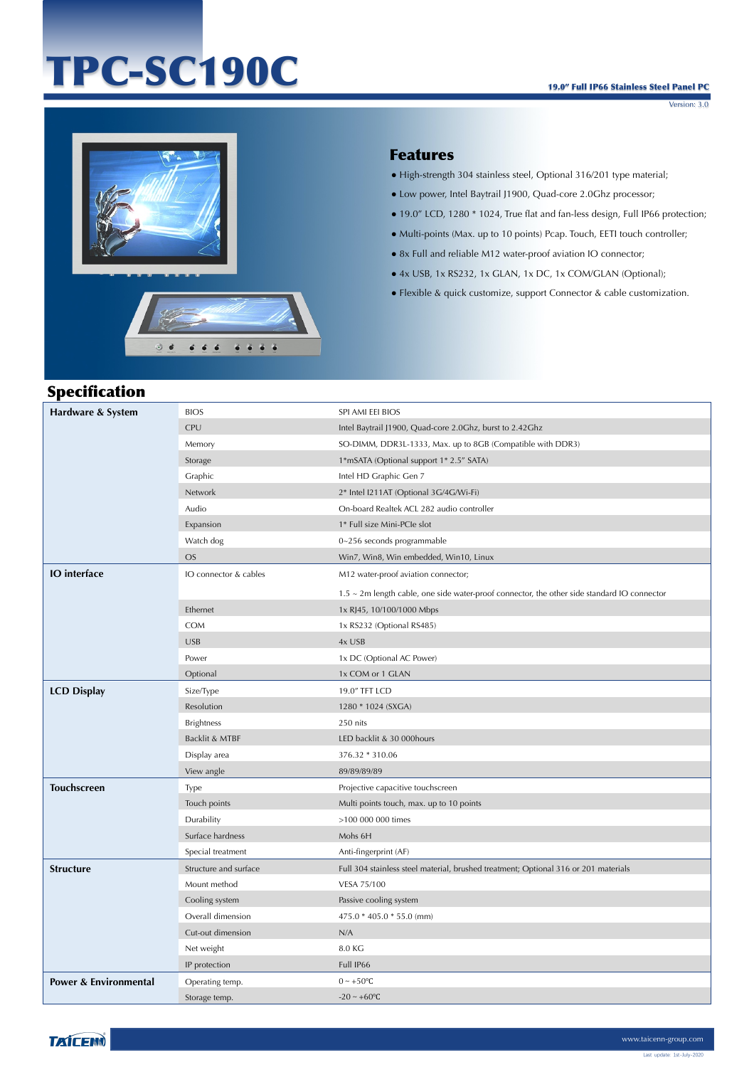## TPC-SC190C

Version: 3.0



## Features

- High-strength 304 stainless steel, Optional 316/201 type material;
- Low power, Intel Baytrail J1900, Quad-core 2.0Ghz processor;
- 19.0" LCD, 1280 \* 1024, True flat and fan-less design, Full IP66 protection;
- Multi-points (Max. up to 10 points) Pcap. Touch, EETI touch controller;
- 8x Full and reliable M12 water-proof aviation IO connector;
- 4x USB, 1x RS232, 1x GLAN, 1x DC, 1x COM/GLAN (Optional);
- Flexible & quick customize, support Connector & cable customization.

| <b>Specification</b>             |                       |                                                                                                   |
|----------------------------------|-----------------------|---------------------------------------------------------------------------------------------------|
| Hardware & System                | <b>BIOS</b>           | SPI AMI EEI BIOS                                                                                  |
|                                  | CPU                   | Intel Baytrail J1900, Quad-core 2.0Ghz, burst to 2.42Ghz                                          |
|                                  | Memory                | SO-DIMM, DDR3L-1333, Max. up to 8GB (Compatible with DDR3)                                        |
|                                  | Storage               | 1*mSATA (Optional support 1* 2.5" SATA)                                                           |
|                                  | Graphic               | Intel HD Graphic Gen 7                                                                            |
|                                  | Network               | 2* Intel I211AT (Optional 3G/4G/Wi-Fi)                                                            |
|                                  | Audio                 | On-board Realtek ACL 282 audio controller                                                         |
|                                  | Expansion             | 1* Full size Mini-PCle slot                                                                       |
|                                  | Watch dog             | 0~256 seconds programmable                                                                        |
|                                  | <b>OS</b>             | Win7, Win8, Win embedded, Win10, Linux                                                            |
| <b>IO</b> interface              | IO connector & cables | M12 water-proof aviation connector;                                                               |
|                                  |                       | $1.5 \sim 2$ m length cable, one side water-proof connector, the other side standard IO connector |
|                                  | Ethernet              | 1x RJ45, 10/100/1000 Mbps                                                                         |
|                                  | <b>COM</b>            | 1x RS232 (Optional RS485)                                                                         |
|                                  | <b>USB</b>            | 4x USB                                                                                            |
|                                  | Power                 | 1x DC (Optional AC Power)                                                                         |
|                                  | Optional              | 1x COM or 1 GLAN                                                                                  |
| <b>LCD Display</b>               | Size/Type             | 19.0" TFT LCD                                                                                     |
|                                  | Resolution            | 1280 * 1024 (SXGA)                                                                                |
|                                  | <b>Brightness</b>     | 250 nits                                                                                          |
|                                  | Backlit & MTBF        | LED backlit & 30 000hours                                                                         |
|                                  | Display area          | 376.32 * 310.06                                                                                   |
|                                  | View angle            | 89/89/89/89                                                                                       |
| <b>Touchscreen</b>               | Type                  | Projective capacitive touchscreen                                                                 |
|                                  | Touch points          | Multi points touch, max. up to 10 points                                                          |
|                                  | Durability            | >100 000 000 times                                                                                |
|                                  | Surface hardness      | Mohs 6H                                                                                           |
|                                  | Special treatment     | Anti-fingerprint (AF)                                                                             |
| <b>Structure</b>                 | Structure and surface | Full 304 stainless steel material, brushed treatment; Optional 316 or 201 materials               |
|                                  | Mount method          | VESA 75/100                                                                                       |
|                                  | Cooling system        | Passive cooling system                                                                            |
|                                  | Overall dimension     | 475.0 * 405.0 * 55.0 (mm)                                                                         |
|                                  | Cut-out dimension     | N/A                                                                                               |
|                                  | Net weight            | 8.0 KG                                                                                            |
|                                  | IP protection         | Full IP66                                                                                         |
| <b>Power &amp; Environmental</b> | Operating temp.       | $0 \sim +50$ °C                                                                                   |
|                                  | Storage temp.         | $-20 - +60$ °C                                                                                    |